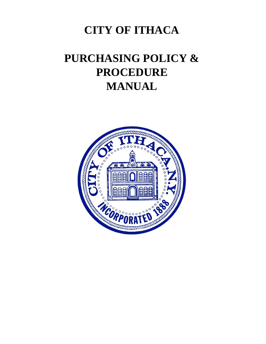## **CITY OF ITHACA**

# **PURCHASING POLICY & PROCEDURE MANUAL**

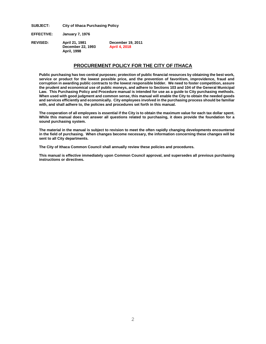**SUBJECT: City of Ithaca Purchasing Policy**

**EFFECTIVE: January 7, 1976**

**REVISED: April 21, 1981 December 19, 2011 December 22, 1993 April 4, 2018 April, 1998**

## **PROCUREMENT POLICY FOR THE CITY OF ITHACA**

**Public purchasing has two central purposes; protection of public financial resources by obtaining the best work, service or product for the lowest possible price, and the prevention of favoritism, improvidence, fraud and corruption in awarding public contracts to the lowest responsible bidder. We need to foster competition, assure the prudent and economical use of public moneys, and adhere to Sections 103 and 104 of the General Municipal Law. This Purchasing Policy and Procedure manual is intended for use as a guide to City purchasing methods. When used with good judgment and common sense, this manual will enable the City to obtain the needed goods and services efficiently and economically. City employees involved in the purchasing process should be familiar with, and shall adhere to, the policies and procedures set forth in this manual.** 

**The cooperation of all employees is essential if the City is to obtain the maximum value for each tax dollar spent. While this manual does not answer all questions related to purchasing, it does provide the foundation for a sound purchasing system.** 

**The material in the manual is subject to revision to meet the often rapidly changing developments encountered in the field of purchasing. When changes become necessary, the information concerning these changes will be sent to all City departments.** 

**The City of Ithaca Common Council shall annually review these policies and procedures.** 

**This manual is effective immediately upon Common Council approval, and supersedes all previous purchasing instructions or directives.**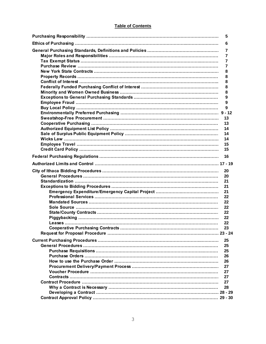## **Table of Contents**

| 5  |
|----|
| 6  |
| 7  |
| 7  |
| 7  |
|    |
| 7  |
| 8  |
| 8  |
| 8  |
| 8  |
| 8  |
| 9  |
| 9  |
| 9  |
|    |
| 13 |
| 13 |
| 14 |
|    |
| 14 |
| 14 |
| 15 |
| 15 |
| 16 |
|    |
| 20 |
| 20 |
| 21 |
| 21 |
| 21 |
| 22 |
| 22 |
|    |
| 22 |
| 22 |
| 22 |
| 22 |
| 23 |
|    |
| 25 |
| 25 |
| 25 |
| 26 |
| 26 |
| 27 |
| 27 |
|    |
| 27 |
| 27 |
| 28 |
|    |
|    |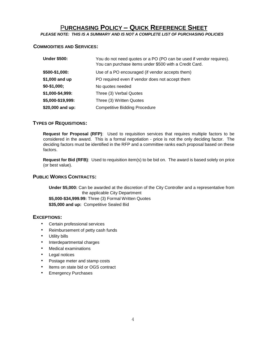## P**URCHASING POLICY – QUICK REFERENCE SHEET**

*PLEASE NOTE: THIS IS A SUMMARY AND IS NOT A COMPLETE LIST OF PURCHASING POLICIES*

## **COMMODITIES AND SERVICES:**

| <b>Under \$500:</b> | You do not need quotes or a PO (PO can be used if vendor requires).<br>You can purchase items under \$500 with a Credit Card. |
|---------------------|-------------------------------------------------------------------------------------------------------------------------------|
| \$500-\$1,000:      | Use of a PO encouraged (if vendor accepts them)                                                                               |
| \$1,000 and up      | PO required even if vendor does not accept them                                                                               |
| $$0-$1,000;$        | No quotes needed                                                                                                              |
| \$1,000-\$4,999:    | Three (3) Verbal Quotes                                                                                                       |
| \$5,000-\$19,999:   | Three (3) Written Quotes                                                                                                      |
| \$20,000 and up:    | <b>Competitive Bidding Procedure</b>                                                                                          |

## **TYPES OF REQUISITIONS:**

**Request for Proposal (RFP)**: Used to requisition services that requires multiple factors to be considered in the award. This is a formal negotiation - price is not the only deciding factor. The deciding factors must be identified in the RFP and a committee ranks each proposal based on these factors.

**Request for Bid (RFB)**: Used to requisition item(s) to be bid on. The award is based solely on price (or best value).

## **PUBLIC WORKS CONTRACTS:**

**Under \$5,000:** Can be awarded at the discretion of the City Controller and a representative from the applicable City Department **\$5,000-\$34,999.99:** Three (3) Formal Written Quotes **\$35,000 and up:** Competitive Sealed Bid

## **EXCEPTIONS:**

- Certain professional services
- Reimbursement of petty cash funds
- Utility bills
- Interdepartmental charges
- Medical examinations
- Legal notices
- Postage meter and stamp costs
- Items on state bid or OGS contract
- Emergency Purchases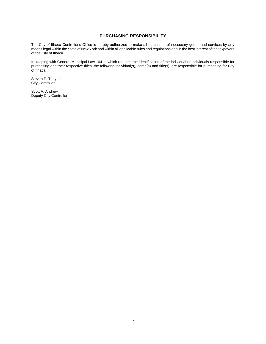## **PURCHASING RESPONSIBILITY**

The City of Ithaca Controller's Office is hereby authorized to make all purchases of necessary goods and services by any means legal within the State of New York and within all applicable rules and regulations and in the best interest of the taxpayers of the City of Ithaca.

In keeping with General Municipal Law 104-b, which requires the identification of the individual or individuals responsible for purchasing and their respective titles, the following individual(s), name(s) and title(s), are responsible for purchasing for City of Ithaca:

Steven P. Thayer City Controller

Scott A. Andrew Deputy City Controller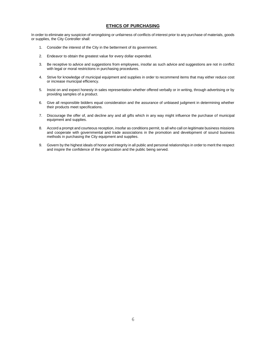### **ETHICS OF PURCHASING**

In order to eliminate any suspicion of wrongdoing or unfairness of conflicts of interest prior to any purchase of materials, goods or supplies, the City Controller shall:

- 1. Consider the interest of the City in the betterment of its government.
- 2. Endeavor to obtain the greatest value for every dollar expended.
- 3. Be receptive to advice and suggestions from employees, insofar as such advice and suggestions are not in conflict with legal or moral restrictions in purchasing procedures.
- 4. Strive for knowledge of municipal equipment and supplies in order to recommend items that may either reduce cost or increase municipal efficiency.
- 5. Insist on and expect honesty in sales representation whether offered verbally or in writing, through advertising or by providing samples of a product.
- 6. Give all responsible bidders equal consideration and the assurance of unbiased judgment in determining whether their products meet specifications.
- 7. Discourage the offer of, and decline any and all gifts which in any way might influence the purchase of municipal equipment and supplies.
- 8. Accord a prompt and courteous reception, insofar as conditions permit, to all who call on legitimate business missions and cooperate with governmental and trade associations in the promotion and development of sound business methods in purchasing the City equipment and supplies.
- 9. Govern by the highest ideals of honor and integrity in all public and personal relationships in order to merit the respect and inspire the confidence of the organization and the public being served.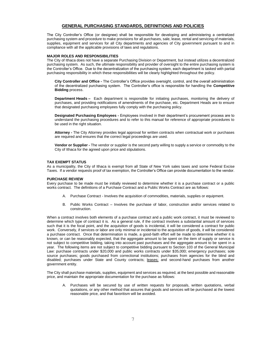#### **GENERAL PURCHASING STANDARDS, DEFINITIONS AND POLICIES**

The City Controller's Office (or designee) shall be responsible for developing and administering a centralized purchasing system and procedure to make provisions for all purchases, sale, lease, rental and servicing of materials, supplies, equipment and services for all City departments and agencies of City government pursuant to and in compliance with all the applicable provisions of laws and regulations.

#### **MAJOR ROLES AND RESPONSIBILITIES**

The City of Ithaca does not have a separate Purchasing Division or Department, but instead utilizes a decentralized purchasing system. As such, the ultimate responsibility and provider of oversight to the entire purchasing system is the Controller's Office. Due to the decentralization of the purchasing system, each department is tasked with partial purchasing responsibility in which these responsibilities will be clearly highlighted throughout the policy.

**City Controller and Office -** The Controller's Office provides oversight, control, and the overall administration of the decentralized purchasing system. The Controller's office is responsible for handling the **Competitive Bidding** process.

**Department Heads –** Each department is responsible for initiating purchases, monitoring the delivery of purchases, and providing notifications of amendments of the purchase, etc. Department Heads are to ensure that designated purchasing employees fully comply with the purchasing policy.

**Designated Purchasing Employees -** Employees involved in their department's procurement process are to understand the purchasing procedures and to refer to this manual for reference of appropriate procedures to be used in the right situation.

**Attorney -** The City Attorney provides legal approval for written contracts when contractual work or purchases are required and ensures that the correct legal proceedings are used.

**Vendor or Supplier -** The vendor or supplier is the second party willing to supply a service or commodity to the City of Ithaca for the agreed upon price and stipulations.

#### **TAX EXEMPT STATUS**

As a municipality, the City of Ithaca is exempt from all State of New York sales taxes and some Federal Excise Taxes. If a vendor requests proof of tax exemption, the Controller's Office can provide documentation to the vendor.

#### **PURCHASE REVIEW**

Every purchase to be made must be initially reviewed to determine whether it is a purchase contract or a public works contract. The definitions of a Purchase Contract and a Public Works Contract are as follows:

- A. Purchase Contract Involves the acquisition of commodities, materials, supplies or equipment.
- B. Public Works Contract Involves the purchase of labor, construction and/or services related to construction.

When a contract involves both elements of a purchase contract and a public work contract, it must be reviewed to determine which type of contract it is. As a general rule, if the contract involves a substantial amount of services such that it is the focal point, and the acquisition of goods is incidental, it will be considered a contract for public work. Conversely, if services or labor are only minimal or incidental to the acquisition of goods, it will be considered a purchase contract. Once that determination is made, a good-faith effort will be made to determine whether it is known, or can be reasonably expected, that the aggregate amount to be spent on the item of supply or service is not subject to competitive bidding, taking into account past purchases and the aggregate amount to be spent in a year. The following items are not subject to competitive bidding pursuant to Section 103 of the General Municipal Law: purchase contracts under \$20,000 and public works contracts under \$35,000; emergency purchases; sole source purchases; goods purchased from correctional institutions; purchases from agencies for the blind and disabled; purchases under State and County contracts; leases; and second-hand purchases from another government entity.

The City shall purchase materials, supplies, equipment and services as required, at the best possible and reasonable price, and maintain the appropriate documentation for the purchase as follows:

A. Purchases will be secured by use of written requests for proposals, written quotations, verbal quotations, or any other method that assures that goods and services will be purchased at the lowest reasonable price, and that favoritism will be avoided.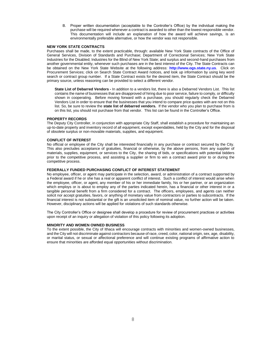B. Proper written documentation (acceptable to the Controller's Office) by the individual making the purchase will be required whenever a contract is awarded to other than the lowest responsible vendor. This documentation will include an explanation of how the award will achieve savings, is an environmentally preferable alternative, or how the vendor was not responsible.

#### **NEW YORK STATE CONTRACTS**

Purchases shall be made, to the extent practicable, through: available New York State contracts of the Office of General Services, Division of Standards and Purchase; Department of Correctional Services; New York State Industries for the Disabled; Industries for the Blind of New York State; and surplus and second-hand purchases from another governmental entity, whenever such purchases are in the best interest of the City. The State Contracts can be obtained on the New York State Website at the following address: **http://www.ogs.state.ny.us**. Click on Procurement Services; click on Search State Contract Award notices, and look up information by using key word search or contract group number. If a State Contract exists for the desired item, the State Contract should be the primary source, unless reasoning can be provided to select a different vendor.

**State List of Debarred Vendors -** In addition to a vendors list, there is also a Debarred Vendors List. This list contains the name of businesses that are disapproved of hiring due to poor service, failure to comply, or difficulty shown in cooperating. Before moving forward with a purchase, you should regularly check the Debarred Vendors List in order to ensure that the businesses that you intend to compare price quotes with are not on this list. So, be sure to review the **state list of debarred vendors.** If the vendor who you plan to purchase from is on this list, you should not purchase from that vendor. This list can be found in the Controller's Office.

#### **PROPERTY RECORDS**

The Deputy City Controller, in conjunction with appropriate City Staff, shall establish a procedure for maintaining an up-to-date property and inventory record of all equipment, except expendables, held by the City and for the disposal of obsolete surplus or non-movable materials, supplies, and equipment.

#### **CONFLICT OF INTEREST**

No official or employee of the City shall be interested financially in any purchase or contract secured by the City. This also precludes acceptance of gratuities, financial or otherwise, by the above persons, from any supplier of materials, supplies, equipment, or services to the City, the sharing of bids, or specifications with potential bidders prior to the competitive process, and assisting a supplier or firm to win a contract award prior to or during the competitive process.

#### **FEDERALLY FUNDED PURCHASING CONFLICT OF INTEREST STATEMENT**

No employee, officer, or agent may participate in the selection, award, or administration of a contract supported by a Federal award if he or she has a real or apparent conflict of interest. Such a conflict of interest would arise when the employee, officer, or agent, any member of his or her immediate family, his or her partner, or an organization which employs or is about to employ any of the parties indicated herein, has a financial or other interest in or a tangible personal benefit from a firm considered for a contract. The officers, employees, and agents can neither solicit nor accept gratuities, favors, or anything of monetary value from contractors or parties to subcontracts. If the financial interest is not substantial or the gift is an unsolicited item of nominal value, no further action will be taken. However, disciplinary actions will be applied for violations of such standards otherwise.

The City Controller's Office or designee shall develop a procedure for review of procurement practices or activities upon receipt of an inquiry or allegation of violation of this policy following its adoption.

#### **MINORITY AND WOMEN OWNED BUSINESS**

To the extent possible, the City of Ithaca will encourage contracts with minorities and women-owned businesses, and the City will not discriminate against contractors because of race, creed, color, national origin, sex, age, disability, or marital status, or sexual or affectional preference and will continue existing programs of affirmative action to ensure that minorities are afforded equal opportunities without discrimination.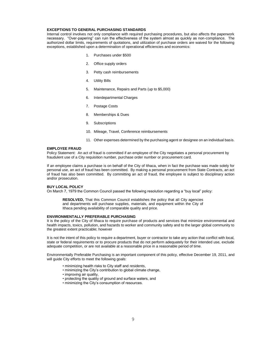#### **EXCEPTIONS TO GENERAL PURCHASING STANDARDS**

Internal control involves not only compliance with required purchasing procedures, but also affects the paperwork necessary. "Over-papering" can ruin the effectiveness of the system almost as quickly as non-compliance. The authorized dollar limits, requirements of quotations, and utilization of purchase orders are waived for the following exceptions, established upon a determination of operational efficiencies and economics:

- 1. Purchases under \$500
- 2. Office supply orders
- 3. Petty cash reimbursements
- 4. Utility Bills
- 5. Maintenance, Repairs and Parts (up to \$5,000)
- 6. Interdepartmental Charges
- 7. Postage Costs
- 8. Memberships & Dues
- 9. Subscriptions
- 10. Mileage, Travel, Conference reimbursements
- 11. Other expenses determined by the purchasing agent or designee on an individual basis.

#### **EMPLOYEE FRAUD**

Policy Statement: An act of fraud is committed if an employee of the City negotiates a personal procurement by fraudulent use of a City requisition number, purchase order number or procurement card.

If an employee claims a purchase is on behalf of the City of Ithaca, when in fact the purchase was made solely for personal use, an act of fraud has been committed. By making a personal procurement from State Contracts, an act of fraud has also been committed. By committing an act of fraud, the employee is subject to disciplinary action and/or prosecution.

#### **BUY LOCAL POLICY**

On March 7, 1979 the Common Council passed the following resolution regarding a "buy local" policy:

**RESOLVED,** That this Common Council establishes the policy that all City agencies and departments will purchase supplies, materials, and equipment within the City of Ithaca pending availability of comparable quality and price.

#### **ENVIRONMENTALLY PREFERABLE PURCHASING**

It is the policy of the City of Ithaca to require purchase of products and services that minimize environmental and health impacts, toxics, pollution, and hazards to worker and community safety and to the larger global community to the greatest extent practicable; however

It is not the intent of this policy to require a department, buyer or contractor to take any action that conflict with local, state or federal requirements or to procure products that do not perform adequately for their intended use, exclude adequate competition, or are not available at a reasonable price in a reasonable period of time.

Environmentally Preferable Purchasing is an important component of this policy, effective December 19, 2011, and will guide City efforts to meet the following goals:

- minimizing health risks to City staff and residents,
- minimizing the City's contribution to global climate change,
- improving air quality.
- protecting the quality of ground and surface waters, and
- minimizing the City's consumption of resources.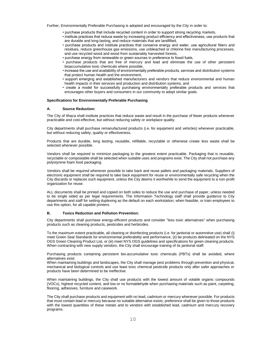Further, Environmentally Preferable Purchasing is adopted and encouraged by the City in order to:

- purchase products that include recycled content in order to support strong recycling markets,
- institute practices that reduce waste by increasing product efficiency and effectiveness, use products that are durable and long-lasting, and reduce materials that are landfilled,
- purchase products and institute practices that conserve energy and water, use agricultural fibers and residues, reduce greenhouse gas emissions, use unbleached or chlorine free manufacturing processes, and use recycled wood and wood from sustainably harvested forests,
- purchase energy from renewable or green sources in preference to fossil fuels,
- purchase products that are free of mercury and lead and eliminate the use of other persistent bioaccumulative toxic chemicals where possible,
- increase the use and availability of environmentally preferable products, services and distribution systems that protect human health and the environment,
- support emerging and established manufacturers and vendors that reduce environmental and human health impacts in their services and production and distribution systems, and
- create a model for successfully purchasing environmentally preferable products and services that encourages other buyers and consumers in our community to adopt similar goals.

#### **Specifications for Environmentally Preferable Purchasing**

#### **A. Source Reduction:**

The City of Ithaca shall institute practices that reduce waste and result in the purchase of fewer products whenever practicable and cost-effective, but without reducing safety or workplace quality.

City departments shall purchase remanufactured products (i.e. for equipment and vehicles) whenever practicable, but without reducing safety, quality or effectiveness.

Products that are durable, long lasting, reusable, refillable, recyclable or otherwise create less waste shall be selected whenever possible.

Vendors shall be required to minimize packaging to the greatest extent practicable. Packaging that is reusable, recyclable or compostable shall be selected when suitable uses and programs exist. The City shall not purchase any polystyrene foam food packaging.

Vendors shall be required whenever possible to take back and reuse pallets and packaging materials. Suppliers of electronic equipment shall be required to take back equipment for reuse or environmentally safe recycling when the City discards or replaces such equipment, unless the City deems it worthwhile to send the equipment to a non-profit organization for reuse.

ALL documents shall be printed and copied on both sides to reduce the use and purchase of paper, unless needed to be single sided as per legal requirements. The Information Technology staff shall provide guidance to City departments and staff for setting duplexing as the default on each workstation, when feasible, or train employees to use this option, for all capable printers.

#### **B. Toxics Reduction and Pollution Prevention:**

City departments shall purchase energy-efficient products and consider "less toxic alternatives" when purchasing products such as cleaning products, pesticides and herbicides.

To the maximum extent practicable, all cleaning or disinfecting products (i.e. for janitorial or automotive use) shall (i) meet Green Seal Standards for environmental preferability and performance, (ii) be products delineated on the NYS OGS Green Cleaning Product List, or (iii) meet NYS OGS guidelines and specifications for green cleaning products. When contracting with new supply vendors, the City shall encourage training of its janitorial staff.

Purchasing products containing persistent bio-accumulative toxic chemicals (PBTs) shall be avoided, where alternatives exist.

When maintaining buildings and landscapes, the City shall manage pest problems through prevention and physical, mechanical and biological controls and use least toxic chemical pesticide products only after safer approaches or products have been determined to be ineffective.

When maintaining buildings, the City shall use products with the lowest amount of volatile organic compounds (VOCs), highest recycled content, and low or no formaldehyde when purchasing materials such as paint, carpeting, flooring, adhesives, furniture and casework.

The City shall purchase products and equipment with no lead, cadmium or mercury whenever possible. For products that must contain lead or mercury because no suitable alternative exists, preference shall be given to those products with the lowest quantities of these metals and to vendors with established lead, cadmium and mercury recovery programs.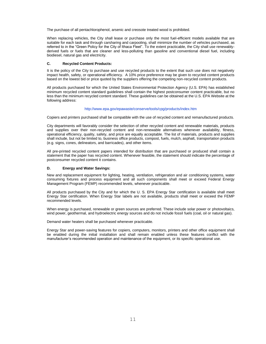The purchase of all pentachlorophenol, arsenic and creosote treated wood is prohibited.

When replacing vehicles, the City shall lease or purchase only the most fuel-efficient models available that are suitable for each task and through carsharing and carpooling, shall minimize the number of vehicles purchased, as referred to in the "Green Policy for the City of Ithaca Fleet". To the extent practicable, the City shall use renewablyderived fuels or fuels that are cleaner and less-polluting than gasoline and conventional diesel fuel, including biodiesel, natural gas and electricity.

#### **C. Recycled Content Products:**

It is the policy of the City to purchase and use recycled products to the extent that such use does not negatively impact health, safety, or operational efficiency. A 10% price preference may be given to recycled content products based on the lowest bid or price quoted by the suppliers offering the competing non-recycled content products.

All products purchased for which the United States Environmental Protection Agency (U.S. EPA) has established minimum recycled content standard guidelines shall contain the highest postconsumer content practicable, but no less than the minimum recycled content standard. These guidelines can be obtained at the U.S. EPA Website at the following address:

#### http://www.epa.gov/epawaste/conserve/tools/cpg/products/index.htm

Copiers and printers purchased shall be compatible with the use of recycled content and remanufactured products.

City departments will favorably consider the selection of other recycled content and renewable materials, products and supplies over their non-recycled content and non-renewable alternatives whenever availability, fitness, operational efficiency, quality, safety, and price are equally acceptable. The list of materials, products and supplies shall include, but not be limited to, business office products, compost, fuels, mulch, asphalt, transportation products (e.g. signs, cones, delineators, and barricades), and other items.

All pre-printed recycled content papers intended for distribution that are purchased or produced shall contain a statement that the paper has recycled content. Whenever feasible, the statement should indicate the percentage of postconsumer recycled content it contains.

#### **D. Energy and Water Savings:**

New and replacement equipment for lighting, heating, ventilation, refrigeration and air conditioning systems, water consuming fixtures and process equipment and all such components shall meet or exceed Federal Energy Management Program (FEMP) recommended levels, whenever practicable.

All products purchased by the City and for which the U. S. EPA Energy Star certification is available shall meet Energy Star certification. When Energy Star labels are not available, products shall meet or exceed the FEMP recommended levels.

When energy is purchased, renewable or green sources are preferred. These include solar power or photovoltaics, wind power, geothermal, and hydroelectric energy sources and do not include fossil fuels (coal, oil or natural gas).

Demand water heaters shall be purchased whenever practicable.

Energy Star and power-saving features for copiers, computers, monitors, printers and other office equipment shall be enabled during the initial installation and shall remain enabled unless these features conflict with the manufacturer's recommended operation and maintenance of the equipment, or its specific operational use.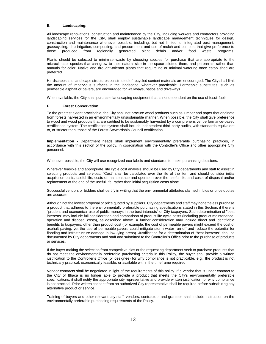#### **E. Landscaping:**

All landscape renovations, construction and maintenance by the City, including workers and contractors providing landscaping services for the City, shall employ sustainable landscape management techniques for design, construction and maintenance whenever possible, including, but not limited to, integrated pest management, grasscycling, drip irrigation, composting, and procurement and use of mulch and compost that give preference to those produced from regionally generated plant debris and/or food waste programs.

Plants should be selected to minimize waste by choosing species for purchase that are appropriate to the microclimate, species that can grow to their natural size in the space allotted them, and perennials rather than annuals for color. Native and drought-tolerant plants that require no or minimal watering once established are preferred.

Hardscapes and landscape structures constructed of recycled content materials are encouraged. The City shall limit the amount of impervious surfaces in the landscape, wherever practicable. Permeable substitutes, such as permeable asphalt or pavers, are encouraged for walkways, patios and driveways.

When available, the City shall purchase landscaping equipment that is not dependent on the use of fossil fuels.

#### **F. Forest Conservation:**

To the greatest extent practicable, the City shall not procure wood products such as lumber and paper that originate from forests harvested in an environmentally unsustainable manner. When possible, the City shall give preference to wood and wood products that are certified to be sustainably harvested by a comprehensive, performance-based certification system. The certification system shall include independent third-party audits, with standards equivalent to, or stricter than, those of the Forest Stewardship Council certification.

**Implementation -** Department heads shall implement environmentally preferable purchasing practices, in accordance with this section of the policy, in coordination with the Controller's Office and other appropriate City personnel.

Whenever possible, the City will use recognized eco-labels and standards to make purchasing decisions.

Wherever feasible and appropriate, life cycle cost analysis should be used by City departments and staff to assist in selecting products and services. "Cost" shall be calculated over the life of the item and should consider initial acquisition costs, useful life, costs of maintenance and operation over the useful life, and costs of disposal and/or replacement at the end of the useful life, rather than initial acquisition costs alone.

Successful vendors or bidders shall certify in writing that the environmental attributes claimed in bids or price quotes are accurate.

Although not the lowest proposal or price quoted by suppliers, City departments and staff may nonetheless purchase a product that adheres to the environmentally preferable purchasing specifications stated in this Section, if there is "prudent and economical use of public moneys in the best interests" of City taxpayers. Such determination of "best interests" may include full consideration and comparison of product life cycle costs (including product maintenance, operation and disposal costs), as described above. A further consideration may include direct and identifiable benefits to taxpayers, other than product cost (for example, the cost of permeable pavers might exceed the cost of asphalt paving, yet the use of permeable pavers could mitigate storm water run-off and reduce the potential for flooding and infrastructure damage in low-lying areas). Justification for a determination of "best interests" shall be documented by City departments and staff and submitted to the Controller's Office prior to the purchase of products or services.

If the buyer making the selection from competitive bids or the requesting department seek to purchase products that do not meet the environmentally preferable purchasing criteria in this Policy, the buyer shall provide a written justification to the Controller's Office (or designee) for why compliance is not practicable, e.g., the product is not technically practical, economically feasible, or available within the timeframe required.

Vendor contracts shall be negotiated in light of the requirements of this policy. If a vendor that is under contract to the City of Ithaca is no longer able to provide a product that meets the City's environmentally preferable specifications, it shall notify the appropriate city representative and provide written justification for why compliance is not practical. Prior written consent from an authorized City representative shall be required before substituting any alternative product or service.

Training of buyers and other relevant city staff, vendors, contractors and grantees shall include instruction on the environmentally preferable purchasing requirements of the Policy.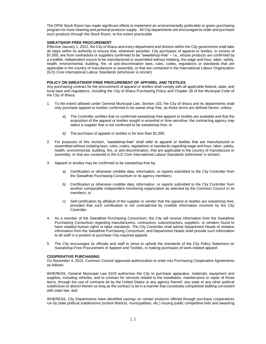The DPW Stock Room has made significant efforts to implement an environmentally preferable or green purchasing program for most cleaning and janitorial products supply. All City departments are encouraged to order and purchase such products through the Stock Room, to the extent practicable.

#### **SWEATSHOP-FREE PROCUREMENT**

Effective January 1, 2012, the City of Ithaca and every department and division within the City government shall take all steps within its authority to ensure that, whenever possible, City purchases of apparel or textiles, in excess of \$1,000, are from contractors or suppliers confirmed to be "sweatshop-free" – i.e., whose products are confirmed by a credible, independent source to be manufactured or assembled without violating the wage and hour, labor, safety, health, environmental, building, fire, or anti-discrimination laws, rules, codes, regulations or standards that are applicable in the country of manufacture or assembly, or that are contained in the International Labour Organization (ILO) Core International Labour Standards (whichever is stricter).

#### **POLICY ON SWEATSHOP-FREE PROCUREMENT OF APPAREL AND TEXTILES**

Any purchasing contract for the procurement of apparel or textiles shall comply with all applicable federal, state, and local laws and regulations, including the City of Ithaca Purchasing Policy and Chapter 39 of the Municipal Code of the City of Ithaca.

- 1. To the extent allowed under General Municipal Law, Section 103, the City of Ithaca and its departments shall only purchase apparel or textiles confirmed to be sweat-shop free, as those terms are defined herein, unless:
	- a) The Controller certifies that no confirmed sweatshop-free apparel or textiles are available and that the acquisition of the apparel or textiles sought is essential or time-sensitive, the contracting agency may select a supplier that is not confirmed to be sweatshop-free; or
	- b) The purchase of apparel or textiles is for less than \$1,000.
- 2. For purposes of this revision, "sweatshop-free" shall refer to apparel or textiles that are manufactured or assembled without violating laws, rules, codes, regulations or standards regarding wage and hour, labor, safety, health, environmental, building, fire, or anti-discrimination, that are applicable in the country of manufacture or assembly, or that are contained in the ILO Core International Labour Standards (whichever is stricter).
- 3. Apparel or textiles may be confirmed to be sweatshop-free by:
	- a) Certification or otherwise credible data, information, or reports submitted to the City Controller from the Sweatfree Purchasing Consortium or its agency members;
	- b) Certification or otherwise credible data, information, or reports submitted to the City Controller from another comparable independent monitoring organization as selected by the Common Council or its members; or
	- c) Self-certification by affidavit of the supplier or vendor that the apparel or textiles are sweatshop-free, provided that such certification is not contradicted by credible information received by the City Controller.
- 4. As a member of the Sweatfree Purchasing Consortium, the City will receive information from the Sweatfree Purchasing Consortium regarding manufacturers, contractors, subcontractors, suppliers, or vendors found to have violated human rights or labor standards. The City Controller shall advise Department Heads of violation information from the Sweatfree Purchasing Consortium, and Department Heads shall provide such information to all staff in a position to purchase City-required apparel.
- 5. The City encourages its officials and staff to strive to uphold the standards of the City Policy Statement on Sweatshop-Free Procurement of Apparel and Textiles, in making purchases of work-related apparel.

#### **COOPERATIVE PURCHASING**

On November 4, 2015, Common Council approved authorization to enter into Purchasing Cooperative Agreements as follows:

WHEREAS, General Municipal Law §103 authorizes the City to purchase apparatus, materials, equipment and supplies, including vehicles, and to contract for services related to the installation, maintenance or repair of those items, through the use of contracts let by the United States or any agency thereof, any state or any other political subdivision or district therein so long as the contract is let in a manner that constitutes competitive bidding consistent with state law; and

WHEREAS, City Departments have identified savings on certain products offered through purchase cooperatives run by state political subdivisions (school districts, municipalities, etc.) issuing public competitive bids and awarding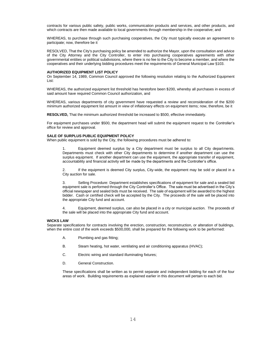contracts for various public safety, public works, communication products and services, and other products, and which contracts are then made available to local governments through membership in the cooperative; and

WHEREAS, to purchase through such purchasing cooperatives, the City must typically execute an agreement to participate; now, therefore be it

RESOLVED, That the City's purchasing policy be amended to authorize the Mayor, upon the consultation and advice of the City Attorney and the City Controller, to enter into purchasing cooperatives agreements with other governmental entities or political subdivisions, where there is no fee to the City to become a member, and where the cooperatives and their underlying bidding procedures meet the requirements of General Municipal Law §103.

#### **AUTHORIZED EQUIPMENT LIST POLICY**

On September 14, 1989, Common Council approved the following resolution relating to the Authorized Equipment List:

WHEREAS, the authorized equipment list threshold has heretofore been \$200, whereby all purchases in excess of said amount have required Common Council authorization, and

WHEREAS, various departments of city government have requested a review and reconsideration of the \$200 minimum authorized equipment list amount in view of inflationary effects on equipment items; now, therefore, be it

**RESOLVED,** That the minimum authorized threshold be increased to \$500, effective immediately.

For equipment purchases under \$500, the department head will submit the equipment request to the Controller's office for review and approval.

#### **SALE OF SURPLUS PUBLIC EQUIPMENT POLICY**

When public equipment is sold by the City, the following procedures must be adhered to:

1. Equipment deemed surplus by a City department must be surplus to all City departments. Departments must check with other City departments to determine if another department can use the surplus equipment. If another department can use the equipment, the appropriate transfer of equipment, accountability and financial activity will be made by the departments and the Controller's office.

2. If the equipment is deemed City surplus, City-wide, the equipment may be sold or placed in a City auction for sale.

3. Selling Procedure: Department establishes specifications of equipment for sale and a sealed bid equipment sale is performed through the City Controller's Office. The sale must be advertised in the City's official newspaper and sealed bids must be received. The sale of equipment will be awarded to the highest bidder. Cash or certified check will be accepted by the City. The proceeds of the sale will be placed into the appropriate City fund and account.

4. Equipment, deemed surplus, can also be placed in a city or municipal auction. The proceeds of the sale will be placed into the appropriate City fund and account.

#### **WICKS LAW**

Separate specifications for contracts involving the erection, construction, reconstruction, or alteration of buildings, when the entire cost of the work exceeds \$500,000, shall be prepared for the following work to be performed:

- A. Plumbing and gas fitting;
- B. Steam heating, hot water, ventilating and air conditioning apparatus (HVAC);
- C. Electric wiring and standard illuminating fixtures;
- D. General Construction.

These specifications shall be written as to permit separate and independent bidding for each of the four areas of work. Building requirements as explained earlier in this document will pertain to each bid.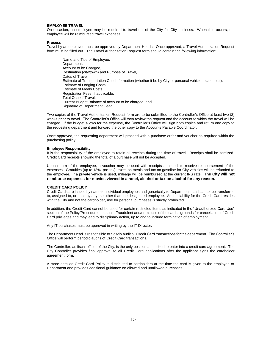#### **EMPLOYEE TRAVEL**

On occasion, an employee may be required to travel out of the City for City business. When this occurs, the employee will be reimbursed travel expenses.

#### **Process**

Travel by an employee must be approved by Department Heads. Once approved, a Travel Authorization Request form must be filled out. The Travel Authorization Request form should contain the following information:

Name and Title of Employee, Department, Account to be Charged, Destination (city/town) and Purpose of Travel, Dates of Travel, Estimate of Transportation Cost Information (whether it be by City or personal vehicle, plane, etc.), Estimate of Lodging Costs, Estimate of Meals Costs, Registration Fees, if applicable, Total Cost of Travel, Current Budget Balance of account to be charged, and Signature of Department Head

Two copies of the Travel Authorization Request form are to be submitted to the Controller's Office at least two (2) weeks prior to travel. The Controller's Office will then review the request and the account to which the travel will be charged. If the budget allows for the expense, the Controller's Office will sign both copies and return one copy to the requesting department and forward the other copy to the Accounts Payable Coordinator.

Once approved, the requesting department will proceed with a purchase order and voucher as required within the purchasing policy.

#### **Employee Responsibility**

It is the responsibility of the employee to retain all receipts during the time of travel. Receipts shall be itemized. Credit Card receipts showing the total of a purchase will not be accepted.

Upon return of the employee, a voucher may be used with receipts attached, to receive reimbursement of the expenses. Gratuities (up to 18%, pre-tax), taxes on meals and tax on gasoline for City vehicles will be refunded to the employee. If a private vehicle is used, mileage will be reimbursed at the current IRS rate. **The City will not reimburse expenses for movies viewed in a hotel, alcohol or tax on alcohol for any reason.**

#### **CREDIT CARD POLICY**

Credit Cards are issued by name to individual employees and generically to Departments and cannot be transferred to, assigned to, or used by anyone other than the designated employee. As the liability for the Credit Card resides with the City and not the cardholder, use for personal purchases is strictly prohibited.

In addition, the Credit Card cannot be used for certain restricted items as indicated in the "Unauthorized Card Use" section of the Policy/Procedures manual. Fraudulent and/or misuse of the card is grounds for cancellation of Credit Card privileges and may lead to disciplinary action, up to and to include termination of employment.

Any IT purchases must be approved in writing by the IT Director.

The Department Head is responsible to closely audit all Credit Card transactions for the department. The Controller's Office will perform periodic audits of Credit Card transactions.

The Controller, as fiscal officer of the City, is the only position authorized to enter into a credit card agreement. The City Controller provides final approval to all Credit Card applications after the applicant signs the cardholder agreement form.

A more detailed Credit Card Policy is distributed to cardholders at the time the card is given to the employee or Department and provides additional guidance on allowed and unallowed purchases.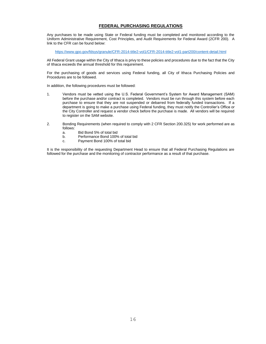## **FEDERAL PURCHASING REGULATIONS**

Any purchases to be made using State or Federal funding must be completed and monitored according to the Uniform Administrative Requirement, Cost Principles, and Audit Requirements for Federal Award (2CFR 200). A link to the CFR can be found below:

<https://www.gpo.gov/fdsys/granule/CFR-2014-title2-vol1/CFR-2014-title2-vol1-part200/content-detail.html>

All Federal Grant usage within the City of Ithaca is privy to these policies and procedures due to the fact that the City of Ithaca exceeds the annual threshold for this requirement.

For the purchasing of goods and services using Federal funding, all City of Ithaca Purchasing Policies and Procedures are to be followed.

In addition, the following procedures must be followed:

- 1. Vendors must be vetted using the U.S. Federal Government's System for Award Management (SAM) before the purchase and/or contract is completed. Vendors must be run through this system before each purchase to ensure that they are not suspended or debarred from federally funded transactions. If a department is going to make a purchase using Federal funding, they must notify the Controller's Office or the City Controller and request a vendor check before the purchase is made. All vendors will be required to register on the SAM website.
- 2. Bonding Requirements (when required to comply with 2 CFR Section 200.325) for work performed are as follows:
	- a. Bid Bond 5% of total bid
	- b. Performance Bond 100% of total bid
	- c. Payment Bond 100% of total bid

It is the responsibility of the requesting Department Head to ensure that all Federal Purchasing Regulations are followed for the purchase and the monitoring of contractor performance as a result of that purchase.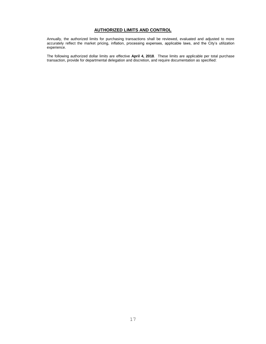## **AUTHORIZED LIMITS AND CONTROL**

Annually, the authorized limits for purchasing transactions shall be reviewed, evaluated and adjusted to more accurately reflect the market pricing, inflation, processing expenses, applicable laws, and the City's utilization experience.

The following authorized dollar limits are effective **April 4, 2018**. These limits are applicable per total purchase transaction, provide for departmental delegation and discretion, and require documentation as specified: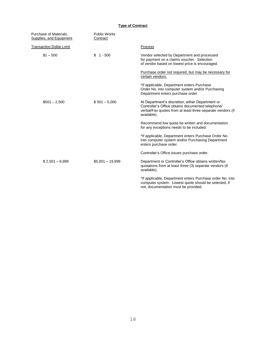## **Type of Contract**

| Purchase of Materials,<br><b>Supplies, and Equipment</b> | <b>Public Works</b><br>Contract |                                                                                                                                                                                    |
|----------------------------------------------------------|---------------------------------|------------------------------------------------------------------------------------------------------------------------------------------------------------------------------------|
| <b>Transaction Dollar Limit</b>                          |                                 | Process                                                                                                                                                                            |
| $$1 - 500$                                               | \$<br>$1 - 500$                 | Vendor selected by Department and processed<br>for payment on a claims voucher. Selection<br>of vendor based on lowest price is encouraged.                                        |
|                                                          |                                 | Purchase order not required, but may be necessary for<br>certain vendors.                                                                                                          |
|                                                          |                                 | *If applicable, Department enters Purchase<br>Order No. into computer system and/or Purchasing<br>Department enters purchase order.                                                |
| $$501 - 2,500$                                           | $$501 - 5,000$                  | At Department's discretion; either Department or<br>Controller's Office obtains documented telephone/<br>verbal/Fax quotes from at least three separate vendors (if<br>available). |
|                                                          |                                 | Recommend low quote be written and documentation<br>for any exceptions needs to be included.                                                                                       |
|                                                          |                                 | *If applicable, Department enters Purchase Order No.<br>into computer system and/or Purchasing Department<br>enters purchase order.                                                |
|                                                          |                                 | Controller's Office issues purchase order.                                                                                                                                         |
| $$2,501 - 9,999$                                         | $$5,001 - 19,999$               | Department or Controller's Office obtains written/fax<br>quotations from at least three (3) separate vendors (if<br>available).                                                    |
|                                                          |                                 | *If applicable, Department enters Purchase order No. into<br>computer system. Lowest quote should be selected; if<br>not, documentation must be provided.                          |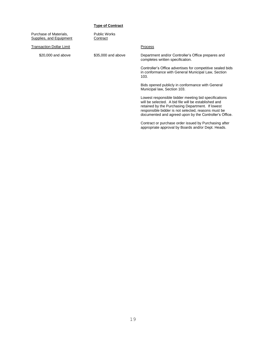#### **Type of Contract**

Purchase of Materials, Public Works<br> **Supplies, and Equipment** Contract Supplies, and Equipment

Transaction Dollar Limit **Process** 

\$20,000 and above \$35,000 and above Department and/or Controller's Office prepares and completes written specification.

> Controller's Office advertises for competitive sealed bids in conformance with General Municipal Law, Section 103.

Bids opened publicly in conformance with General Municipal law, Section 103.

Lowest responsible bidder meeting bid specifications will be selected. A bid file will be established and retained by the Purchasing Department. If lowest responsible bidder is not selected, reasons must be documented and agreed upon by the Controller's Office.

Contract or purchase order issued by Purchasing after appropriate approval by Boards and/or Dept. Heads.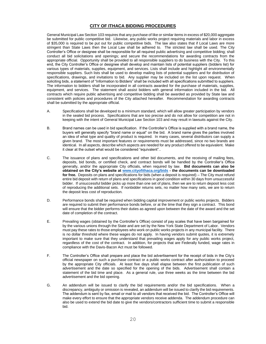## **CITY OF ITHACA BIDDING PROCEDURES**

General Municipal Law Section 103 requires that any purchase of like or similar items in excess of \$20,000 aggregate be submitted for public competitive bid. Likewise, any public works project requiring materials and labor in excess of \$35,000 is required to be put out for public competitive bids. The law also states that if Local Laws are more stringent than State Laws then the Local Law shall be adhered to. The strictest law shall be used. The City Controller's Office or designee shall be responsible for all required public advertising and competitive bidding; shall conduct all bid solicitations and openings; and secure the recommendations for awarding contracts from the appropriate official. Opportunity shall be provided to all responsible suppliers to do business with the City. To this end, the City Controller's Office or designee shall develop and maintain lists of potential suppliers (bidders list) for various types of materials, supplies, equipment, and services. Lists shall include and highlight all environmentally responsible suppliers. Such lists shall be used to develop mailing lists of potential suppliers and for distribution of specifications, drawings, and invitations to bid. Any supplier may be included on the list upon request. When soliciting bids, a statement of "Information to Bidders" shall be included with all specifications submitted to suppliers. The information to bidders shall be incorporated in all contracts awarded for the purchase of materials, supplies, equipment, and services. The statement shall assist bidders with general information included in the bid. All contracts which require public advertising and competitive bidding shall be awarded as provided by State law and consistent with policies and procedures of the City attached hereafter. Recommendation for awarding contracts shall be submitted by the appropriate official.

- A. Specifications shall be developed to a minimum standard, which will allow greater participation by vendors in the sealed bid process. Specifications that are too precise and do not allow for competition are not in keeping with the intent of General Municipal Law Section 103 and may result in lawsuits against the City.
- B. Brand names can be used in bid specification. If the Controller's Office is supplied with a brand name, the buyers will generally specify "brand name or equal" on the bid. A brand name gives the parties involved an idea of what type and quality of product is required. In many cases, several distributors can supply a given brand. The most important features or requirements must be addressed, since no two brands are identical. In all aspects, describe which aspects are needed for any product offered to be equivalent. Make it clear at the outset what would be considered "equivalent"..
- C. The issuance of plans and specifications and other bid documents, and the receiving of mailing fees, deposits, bid bonds, or certified check, and contract bonds will be handled by the Controller's Office generally, and/or the appropriate City officials, when required by law. **Bid documents can also be obtained on the City's website at [www.cityofithaca.org/bids](http://www.cityofithaca.org/bids) - the documents can be downloaded for free.** Deposits on plans and specifications for bids (when a deposit is required) – The City must refund entire bid deposit with return of plans and specifications in good condition within 30 days from unsuccessful bidder. If unsuccessful bidder picks up more than one set of plans, then we are to return deposit less cost of reproducing the additional sets. If nonbidder returns sets, no matter how many sets, we are to return the deposit less cost of reproduction.
- D. Performance bonds shall be required when bidding capital improvement or public works projects. Bidders are required to submit their performance bonds before, or at the time that they sign a contract. This bond will ensure that the bidder performs their duties as agreed upon between the date of the award and the set date of completion of the contract.
- E. Prevailing wages (obtained by the Controller's Office) consist of pay scales that have been bargained for by the various unions through the State and are set by the New York State Department of Labor. Vendors must pay these rates to those employees who work on public works projects in any municipal facility. There is no dollar threshold where these wages do not apply. In having vendors submit quotes, it is extremely important to make sure that they understand that prevailing wages apply for any public works project, regardless of the cost of the contract. In addition, for projects that are Federally funded, wage rates in compliance with the Davis-Bacon Act must be followed.
- F. The Controller's Office shall prepare and place the bid advertisement for the receipt of bids in the City's official newspaper on such a purchase contract or a public works contract after authorization to proceed by the appropriate City officials. At least five days shall elapse between the first publication of such advertisement and the date so specified for the opening of the bids. Advertisement shall contain a statement of the bid time and place. As a general rule, use three weeks as the time between the bid advertisement and the bid opening.
- G. An addendum will be issued to clarify the bid requirements and/or the bid specifications. When a discrepancy, ambiguity or omission is revealed, an addendum will be issued to clarify the bid requirements. The addendum is sent by fax, email or mail to all vendors that received the bid. The Controller's Office will make every effort to ensure that the appropriate vendors receive addenda. The addendum procedure can also be used to extend the bid date to give the vendors/contractors sufficient time to submit a responsible bid.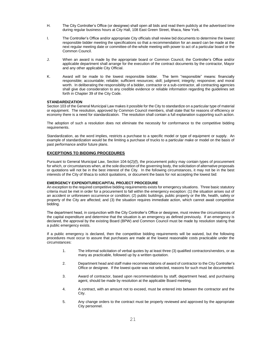- H. The City Controller's Office (or designee) shall open all bids and read them publicly at the advertised time during regular business hours at City Hall, 108 East Green Street, Ithaca, New York.
- I. The Controller's Office and/or appropriate City officials shall review bid documents to determine the lowest responsible bidder meeting the specifications so that a recommendation for an award can be made at the next regular meeting date or committee-of-the-whole meeting with power to act of a particular board or the Common Council.
- J. When an award is made by the appropriate board or Common Council, the Controller's Office and/or applicable department shall arrange for the execution of the contract documents by the contractor, Mayor and any other applicable City Official.
- K. Award will be made to the lowest responsible bidder. The term "responsible" means: financially responsible; accountable; reliable; sufficient resources; skill; judgment; integrity; responsive; and moral worth. In deliberating the responsibility of a bidder, contractor or a sub-contractor, all contracting agencies shall give due consideration to any credible evidence or reliable information regarding the guidelines set forth in Chapter 39 of the City Code.

#### **STANDARDIZATION**

Section 103 of the General Municipal Law makes it possible for the City to standardize on a particular type of material or equipment. The resolution, approved by Common Council members, shall state that for reasons of efficiency or economy there is a need for standardization. The resolution shall contain a full explanation supporting such action.

The adoption of such a resolution does not eliminate the necessity for conformance to the competitive bidding requirements.

Standardization, as the word implies, restricts a purchase to a specific model or type of equipment or supply. An example of standardization would be the limiting a purchase of trucks to a particular make or model on the basis of past performance and/or future plans.

#### **EXCEPTIONS TO BIDDING PROCEDURES**

Pursuant to General Municipal Law, Section 104-b(2)(f), the procurement policy may contain types of procurement for which, or circumstances when, at the sole discretion of the governing body, the solicitation of alternative proposals or quotations will not be in the best interest of the City. In the following circumstances, it may not be in the best interests of the City of Ithaca to solicit quotations, or document the basis for not accepting the lowest bid:

#### **EMERGENCY EXPENDITURE/CAPITAL PROJECT PROCEDURE**

An exception to the required competitive bidding requirements exists for emergency situations. Three basic statutory criteria must be met in order for a procurement to fall within the emergency exception: (1) the situation arises out of an accident or unforeseen occurrence or condition; (2) public buildings, public property or the life, health, safety or property of the City are affected; and (3) the situation requires immediate action, which cannot await competitive bidding.

The department head, in conjunction with the City Controller's Office or designee, must review the circumstances of the capital expenditure and determine that the situation is an emergency as defined previously. If an emergency is declared, the approval by the existing Board (BPW) and Common Council must be made by resolution stating that a public emergency exists.

If a public emergency is declared, then the competitive bidding requirements will be waived, but the following procedures must occur to assure that purchases are made at the lowest reasonable costs practicable under the circumstances:

- 1. The informal solicitation of verbal quotes by at least three (3) qualified contractors/vendors, or as many as practicable, followed up by a written quotation.
- 2. Department head and staff make recommendations of award of contractor to the City Controller's Office or designee. If the lowest quote was not selected, reasons for such must be documented.
- 3. Award of contractor, based upon recommendations by staff, department head, and purchasing agent, should be made by resolution at the applicable Board meeting.
- 4. A contract, with an amount not to exceed, must be entered into between the contractor and the City.
- 5. Any change orders to the contract must be properly reviewed and approved by the appropriate City personnel.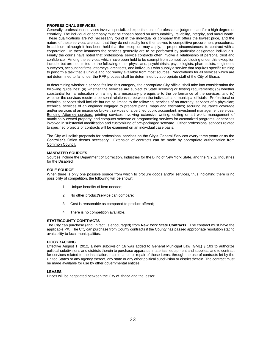#### **PROFESSIONAL SERVICES**

Generally, professional services involve specialized expertise, use of professional judgment and/or a high degree of creativity. The individual or company must be chosen based on accountability, reliability, integrity, and moral worth. These qualifications are not necessarily found in the individual or company that offers the lowest price, and the nature of these services are such that they do not readily lend themselves to competitive procurement procedures. In addition, although it has been held that the exception may apply, in proper circumstances, to contract with a corporation. In these instances the services generally are to be performed by particular designated individuals. Finally the courts have noted that professional service contracts often involve a relationship of personal trust and confidence. Among the services which have been held to be exempt from competitive bidding under this exception include, but are not limited to, the following: other physicians, psychiatrists, psychologists, pharmacists, engineers, surveyors, accounting firms, attorneys, architects, and individuals who supply a service that requires specific training to perform a task that is unique and not readily available from most sources. Negotiations for all services which are not determined to fall under the RFP process shall be determined by appropriate staff of the City of Ithaca.

In determining whether a service fits into this category, the appropriate City official shall take into consideration the following guidelines: (a) whether the services are subject to State licensing or testing requirements; (b) whether substantial formal education or training is a necessary prerequisite to the performance of the services; and (c) whether the services require a personal relationship between the individual and municipal officials. Professional or technical services shall include but not be limited to the following: services of an attorney; services of a physician; technical services of an engineer engaged to prepare plans, maps and estimates; securing insurance coverage and/or services of an insurance broker; services of a certified public accountant; investment management services; Bonding Attorney services; printing services involving extensive writing, editing or art work; management of municipally owned property; and computer software or programming services for customized programs, or services involved in substantial modification and customizing of pre-packaged software. Other professional services related to specified projects or contracts will be examined on an individual case basis.

The City will solicit proposals for professional services on the City's General Services every three years or as the Controller's Office deems necessary. Extension of contracts can be made by appropriate authorization from Common Council.

#### **MANDATED SOURCES**

Sources include the Department of Correction, Industries for the Blind of New York State, and the N.Y.S. Industries for the Disabled.

#### **SOLE SOURCE**

When there is only one possible source from which to procure goods and/or services, thus indicating there is no possibility of competition, the following will be shown:

- 1. Unique benefits of item needed;
- 2. No other product/service can compare;
- 3. Cost is reasonable as compared to product offered;
- 4. There is no competition available.

#### **STATE/COUNTY CONTRACTS**

The City can purchase (and, in fact, is encouraged) from **New York State Contracts**. The contract must have the applicable P#. The City can purchase from County contracts if the County has passed appropriate resolution stating availability to local municipalities.

#### **PIGGYBACKING**

Effective August 1, 2012, a new subdivision 16 was added to General Municipal Law (GML) § 103 to authorize political subdivisions and districts therein to purchase apparatus, materials, equipment and supplies, and to contract for services related to the installation, maintenance or repair of those items, through the use of contracts let by the United States or any agency thereof, any state or any other political subdivision or district therein. The contract must be made available for use by other governmental entities.

#### **LEASES**

Prices will be negotiated between the City of Ithaca and the lessor.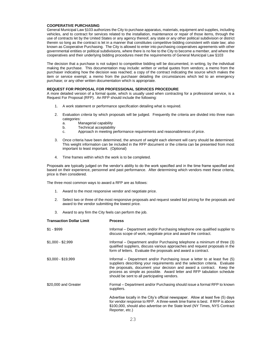#### **COOPERATIVE PURCHASING**

General Municipal Law §103 authorizes the City to purchase apparatus, materials, equipment and supplies, including vehicles, and to contract for services related to the installation, maintenance or repair of those items, through the use of contracts let by the United States or any agency thereof, any state or any other political subdivision or district therein so long as the contract is let in a manner that constitutes competitive bidding consistent with state law; also known as Cooperative Purchasing. The City is allowed to enter into purchasing cooperatives agreements with other governmental entities or political subdivisions, where there is no fee to the City to become a member, and where the cooperatives and their underlying bidding procedures meet the requirements of General Municipal Law §103

The decision that a purchase is not subject to competitive bidding will be documented, in writing, by the individual making the purchase. This documentation may include: written or verbal quotes from vendors; a memo from the purchaser indicating how the decision was reached; a copy of the contract indicating the source which makes the item or service exempt; a memo from the purchaser detailing the circumstances which led to an emergency purchase; or any other written documentation which is appropriate.

#### **REQUEST FOR PROPOSAL FOR PROFESSIONAL SERVICES PROCEDURE**

A more detailed version of a formal quote, which is usually used when contracting for a professional service, is a Request For Proposal (RFP). An RFP should include the following:

- 1. A work statement or performance specification detailing what is required.
- 2. Evaluation *criteria* by which proposals will be judged. Frequently the criteria are divided into three main categories:
	- a. Managerial capability
	- b. Technical acceptability
	- c. Approach in meeting performance requirements and reasonableness of price.
- 3. Once criteria have been determined, the amount of *weight* each element will carry should be determined. This weight information can be included in the RFP document or the criteria can be presented from most important to least important. (Optional)
- 4. Time frames within which the work is to be completed.

Proposals are typically judged on the vendor's ability to do the work specified and in the time frame specified and based on their experience, personnel and past performance. After determining which vendors meet these criteria, price is then considered.

The three most common ways to award a RFP are as follows:

- 1. Award to the most responsive vendor and negotiate price.
- 2. Select two or three of the most responsive proposals and request sealed bid pricing for the proposals and award to the vendor submitting the lowest price.
- 3. Award to any firm the City feels can perform the job.

| <b>Transaction Dollar Limit</b> | <b>Process</b>                                                                                                                                                                                                                                                                                                                                                |
|---------------------------------|---------------------------------------------------------------------------------------------------------------------------------------------------------------------------------------------------------------------------------------------------------------------------------------------------------------------------------------------------------------|
| $$1 - $999$                     | Informal – Department and/or Purchasing telephone one qualified supplier to<br>discuss scope of work, negotiate price and award the contract.                                                                                                                                                                                                                 |
| $$1,000 - $2,999$               | Informal – Department and/or Purchasing telephone a minimum of three (3)<br>qualified suppliers, discuss various approaches and request proposals in the<br>form of letters. Evaluate the proposals and award a contract.                                                                                                                                     |
| $$3,000 - $19,999$              | Informal – Department and/or Purchasing issue a letter to at least five (5)<br>suppliers describing your requirements and the selection criteria. Evaluate<br>the proposals, document your decision and award a contract. Keep the<br>process as simple as possible. Award letter and RFP tabulation schedule<br>should be sent to all participating vendors. |
| \$20,000 and Greater            | Formal – Department and/or Purchasing should issue a formal RFP to known<br>suppliers.                                                                                                                                                                                                                                                                        |
|                                 | Advertise locally in the City's official newspaper. Allow at least five (5) days<br>for vendor response to RFP. A three-week time frame is best. If RFP is above<br>\$100,000, should also advertise on the State level (NY Times, NYS Contract<br>Reporter, etc.)                                                                                            |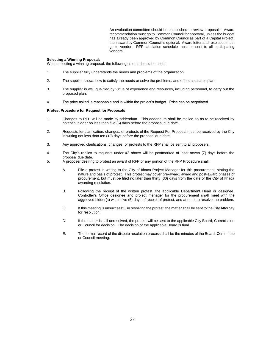An evaluation committee should be established to review proposals. Award recommendation must go to Common Council for approval, unless the budget has already been approved by Common Council as part of a Capital Project, then award by Common Council is optional. Award letter and resolution must go to vendor. RFP tabulation schedule must be sent to all participating vendors.

#### **Selecting a Winning Proposal:**

When selecting a winning proposal, the following criteria should be used:

- 1. The supplier fully understands the needs and problems of the organization;
- 2. The supplier knows how to satisfy the needs or solve the problems, and offers a suitable plan;
- 3. The supplier is well qualified by virtue of experience and resources, including personnel, to carry out the proposed plan;
- 4. The price asked is reasonable and is within the project's budget. Price can be negotiated.

#### **Protest Procedure for Request for Proposals**

- 1. Changes to RFP will be made by addendum. This addendum shall be mailed so as to be received by potential bidder no less than five (5) days before the proposal due date.
- 2. Requests for clarification, changes, or protests of the Request For Proposal must be received by the City in writing not less than ten (10) days before the proposal due date.
- 3. Any approved clarifications, changes, or protests to the RFP shall be sent to all proposers.
- 4. The City's replies to requests under #2 above will be postmarked at least seven (7) days before the proposal due date.
- 5. A proposer desiring to protest an award of RFP or any portion of the RFP Procedure shall:
	- A. File a protest in writing to the City of Ithaca Project Manager for this procurement, stating the nature and basis of protest. This protest may cover pre-award, award and post-award phases of procurement, but must be filed no later than thirty (30) days from the date of the City of Ithaca awarding resolution.
	- B. Following the receipt of the written protest, the applicable Department Head or designee, Controller's Office designee and project manager for the procurement shall meet with the aggrieved bidder(s) within five (5) days of receipt of protest, and attempt to resolve the problem.
	- C. If this meeting is unsuccessful in resolving the protest, the matter shall be sent to the City Attorney for resolution.
	- D. If the matter is still unresolved, the protest will be sent to the applicable City Board, Commission or Council for decision. The decision of the applicable Board is final.
	- E. The formal record of the dispute resolution process shall be the minutes of the Board, Committee or Council meeting.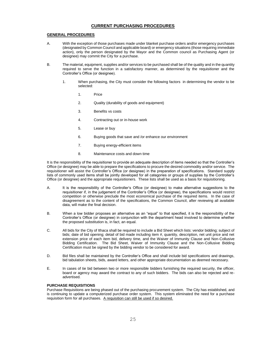## **CURRENT PURCHASING PROCEDURES**

#### **GENERAL PROCEDURES**

- A. With the exception of those purchases made under blanket purchase orders and/or emergency purchases (designated by Common Council and applicable board) or emergency situations (those requiring immediate action), only the person designated by the Mayor and the Common council as Purchasing Agent (or designee) may commit the City for a purchase.
- B. The material, equipment, supplies and/or services to be purchased shall be of the quality and in the quantity required to serve the function in a satisfactory manner, as determined by the requisitioner and the Controller's Office (or designee).
	- 1. When purchasing, the City must consider the following factors in determining the vendor to be selected:
		- 1. Price
		- 2. Quality (durability of goods and equipment)
		- 3. Benefits vs costs
		- 4. Contracting out or in-house work
		- 5. Lease or buy
		- 6. Buying goods that save and /or enhance our environment
		- 7. Buying energy-efficient items
		- 8. Maintenance costs and down time

It is the responsibility of the requisitioner to provide an adequate description of items needed so that the Controller's Office (or designee) may be able to prepare the specifications to procure the desired commodity and/or service. The requisitioner will assist the Controller's Office (or designee) in the preparation of specifications. Standard supply lists of commonly used items shall be jointly developed for all categories or groups of supplies by the Controller's Office (or designee) and the appropriate requisitioners. These lists shall be used as a basis for requisitioning.

- A. It is the responsibility of the Controller's Office (or designee) to make alternative suggestions to the requisitioner if, in the judgement of the Controller's Office (or designee), the specifications would restrict competition or otherwise preclude the most economical purchase of the required items. In the case of disagreement as to the content of the specifications, the Common Council, after reviewing all available data, will make the final decision.
- B. When a low bidder proposes an alternative as an "equal" to that specified, it is the responsibility of the Controller's Office (or designee) in conjunction with the department head involved to determine whether the proposed substitution is, in fact, an equal.
- C. All bids for the City of Ithaca shall be required to include a Bid Sheet which lists: vendor bidding; subject of bids; date of bid opening; detail of bid made including item #, quantity, description, net unit price and net extension price of each item bid, delivery time, and the Waiver of Immunity Clause and Non-Collusive Bidding Certification. The Bid Sheet, Waiver of Immunity Clause and the Non-Collusive Bidding Certification must be signed by the bidding vendor to be considered for award.
- D. Bid files shall be maintained by the Controller's Office and shall include bid specifications and drawings, bid tabulation sheets, bids, award letters, and other appropriate documentation as deemed necessary.
- E. In cases of tie bid between two or more responsible bidders furnishing the required security, the officer, board or agency may award the contract to any of such bidders. The bids can also be rejected and readvertised.

#### **PURCHASE REQUISITIONS**

Purchase Requisitions are being phased out of the purchasing procurement system. The City has established, and is continuing to update a computerized purchase order system. This system eliminated the need for a purchase requisition form for all purchases. A requisition can still be used if so desired.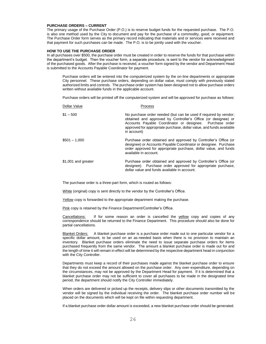#### **PURCHASE ORDERS – CURRENT**

The primary usage of the Purchase Order (P.O.) is to reserve budget funds for the requested purchase. The P.O. is also one method used by the City to document and pay for the purchase of a commodity, good, or equipment. The Purchase Order form serves as the primary record indicating that materials and or services were received and that payment for such purchases can be made. The P.O. is to be jointly used with the voucher.

#### **HOW TO USE THE PURCHASE ORDER**

In all purchases over \$500, the purchase order must be created in order to reserve the funds for that purchase within the department's budget. Then the voucher form, a separate procedure, is sent to the vendor for acknowledgment of the purchased goods. After the purchase is received, a voucher form signed by the vendor and Department Head is submitted to the Accounts Payable Coordinator for payment.

Purchase orders will be entered into the computerized system by the on-line departments or appropriate City personnel. These purchase orders, depending on dollar value, must comply with previously stated authorized limits and controls. The purchase order system has been designed not to allow purchase orders written without available funds in the applicable account.

Purchase orders will be printed off the computerized system and will be approved for purchase as follows:

| Dollar Value        | Process                                                                                                                                                                                                                                                                              |
|---------------------|--------------------------------------------------------------------------------------------------------------------------------------------------------------------------------------------------------------------------------------------------------------------------------------|
| $$1 - 500$          | No purchase order needed (but can be used if required by vendor;<br>obtained and approved by Controller's Office (or designee) or<br>Accounts Payable Coordinator or designee. Purchase order<br>approved for appropriate purchase, dollar value, and funds available<br>in account) |
| $$501 - 1.000$      | Purchase order obtained and approved by Controller's Office (or<br>designee) or Accounts Payable Coordinator or designee. Purchase<br>order approved for appropriate purchase, dollar value, and funds<br>available in account.                                                      |
| \$1,001 and greater | Purchase order obtained and approved by Controller's Office (or<br>designee). Purchase order approved for appropriate purchase,<br>dollar value and funds available in account.                                                                                                      |

The purchase order is a three-part form, which is routed as follows:

White (original) copy is sent directly to the vendor by the Controller's Office.

Yellow copy is forwarded to the appropriate department making the purchase.

Pink copy is retained by the Finance Department/Controller's Office.

Cancellations: If for some reason an order is cancelled the yellow copy and copies of any correspondence should be returned to the Finance Department. This procedure should also be done for partial cancellations.

Blanket Orders: A blanket purchase order is a purchase order made out to one particular vendor for a specific dollar amount, to be used on an as-needed basis when there is no provision to maintain an inventory. Blanket purchase orders eliminate the need to issue separate purchase orders for items purchased frequently from the same vendor. The amount a blanket purchase order is made out for and the length of time it will remain in effect will be determined by the respective department head in conjunction with the City Controller.

Departments must keep a record of their purchases made against the blanket purchase order to ensure that they do not exceed the amount allowed on the purchase order. Any over-expenditure, depending on the circumstances, may not be approved by the Department Head for payment. If it is determined that a blanket purchase order may not be sufficient to cover all purchases to be made in the designated time period, the department should notify the City Controller immediately.

When orders are delivered or picked up the receipts, delivery slips or other documents transmitted by the vendor will be signed by the individual receiving the order. The blanket purchase order number will be placed on the documents which will be kept on file within requesting department.

If a blanket purchase order dollar amount is exceeded, a new blanket purchase order should be generated.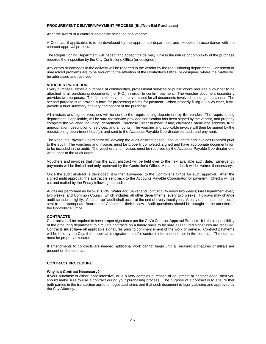#### **PROCUREMENT DELIVERY/PAYMENT PROCESS (Bid/Non-Bid Purchases)**

After the award of a contract and/or the selection of a vendor:

A Contract, if applicable, is to be developed by the appropriate department and executed in accordance with the contract approval process.

The Requisitioning Department will inspect and accept the delivery, unless the nature or complexity of the purchase requires the inspection by the City Controller's Office (or designee).

Any errors or damages in the delivery will be reported to the vendor by the requisitioning department. Consistent or unresolved problems are to be brought to the attention of the Controller's Office (or designee) where the matter will be addressed and resolved.

#### **VOUCHER PROCEDURE**

Every purchase, either a purchase of commodities, professional services or public works requires a voucher to be attached to all purchasing documents (i.e. P.O.) in order to confirm payment. The voucher document essentially provides two purposes. The first is to serve as a cover sheet for all documents involved in a single purchase. The second purpose is to provide a form for processing claims for payment. When properly filling out a voucher, it will provide a brief summary of every component of the purchase.

All invoices and signed vouchers will be sent to the requisitioning department by the vendor. The requisitioning department, if applicable, will be sure the service-provided certification has been signed by the vendor, and properly complete the voucher, including: department; Purchase Order number, if any; claimant's name and address; fund appropriation; description of services, and amounts. The voucher and applicable invoice will then be signed by the requisitioning department head(s), and sent to the Accounts Payable Coordinator for audit and payment.

The Accounts Payable Coordinator will develop the audit abstract based upon vouchers and invoices received prior to the audit. The vouchers and invoices must be properly completed, signed and have appropriate documentation to be included in the audit. The vouchers and invoices must be received by the Accounts Payable Coordinator one week prior to the audit dates.

Vouchers and invoices that miss the audit abstract will be held over to the next available audit date. Emergency payments will be limited and only approved by the Controller's Office. A manual check will be written if necessary.

Once the audit abstract is developed, it is then forwarded to the Controller's Office for audit approval. After the signed audit approval, the abstract is sent back to the Accounts Payable Coordinator for payment. Checks will be cut and mailed by the Friday following the audit.

Audits are performed as follows: DPW, Water and Sewer and Joint Activity every two weeks; Fire Department every two weeks; and Common Council, which includes all other departments, every two weeks. Holidays may change audit schedule slightly. A "clean-up" audit shall occur at the end of every fiscal year. A copy of the audit abstract is sent to the appropriate Boards and Council for their review. Audit questions should be brought to the attention of the Controller's Office.

#### **CONTRACTS**

Contracts shall be required to have proper signatures per the City's Contract Approval Process. It is the responsibility of the procuring department to circulate contracts on a timely basis to be sure all required signatures are received. Contracts **must** have all applicable signatures prior to commencement of the work or service. Contract payments will be held by the City, if the applicable signatures and/or contract information is not in the contract. The contract must be properly executed.

If amendments to contracts are needed, additional work cannot begin until all required signatures or initials are present on the contract.

#### **CONTRACT PROCEDURE:**

#### **Why is a Contract Necessary?**

If your purchase is either labor intensive, or is a very complex purchase of equipment or another good, then you should make sure to use a contract during your purchasing process. The purpose of a contract is to ensure that both parties in the transaction agree to negotiated terms and that such document is legally abiding and approved by the City Attorney.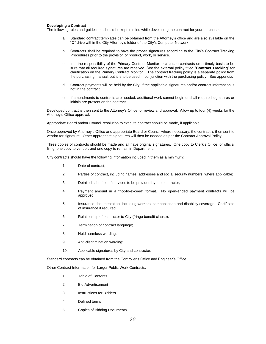#### **Developing a Contract**

The following rules and guidelines should be kept in mind while developing the contract for your purchase.

- a. Standard contract templates can be obtained from the Attorney's office and are also available on the "Q" drive within the City Attorney's folder of the City's Computer Network.
- b. Contracts shall be required to have the proper signatures according to the City's Contract Tracking Procedures prior to the provision of product, work, or service.
- c. It is the responsibility of the Primary Contract Monitor to circulate contracts on a timely basis to be sure that all required signatures are received. See the external policy titled "**Contract Tracking**" for clarification on the Primary Contract Monitor. The contract tracking policy is a separate policy from the purchasing manual, but it is to be used in conjunction with the purchasing policy. See appendix.
- d. Contract payments will be held by the City, if the applicable signatures and/or contract information is not in the contract.
- e. If amendments to contracts are needed, additional work cannot begin until all required signatures or initials are present on the contract.

Developed contract is then sent to the Attorney's Office for review and approval. Allow up to four (4) weeks for the Attorney's Office approval.

Appropriate Board and/or Council resolution to execute contract should be made, if applicable.

Once approved by Attorney's Office and appropriate Board or Council where necessary, the contract is then sent to vendor for signature. Other appropriate signatures will then be needed as per the Contract Approval Policy.

Three copies of contracts should be made and all have original signatures. One copy to Clerk's Office for official filing, one copy to vendor, and one copy to remain in Department.

City contracts should have the following information included in them as a minimum:

- 1. Date of contract;
- 2. Parties of contract, including names, addresses and social security numbers, where applicable;
- 3. Detailed schedule of services to be provided by the contractor;
- 4. Payment amount in a "not-to-exceed" format. No open-ended payment contracts will be approved.
- 5. Insurance documentation, including workers' compensation and disability coverage. Certificate of insurance if required.
- 6. Relationship of contractor to City (fringe benefit clause);
- 7. Termination of contract language;
- 8. Hold harmless wording;
- 9. Anti-discrimination wording;
- 10. Applicable signatures by City and contractor.

Standard contracts can be obtained from the Controller's Office and Engineer's Office.

Other Contract Information for Larger Public Work Contracts:

- 1. Table of Contents
- 2. Bid Advertisement
- 3. Instructions for Bidders
- 4. Defined terms
- 5. Copies of Bidding Documents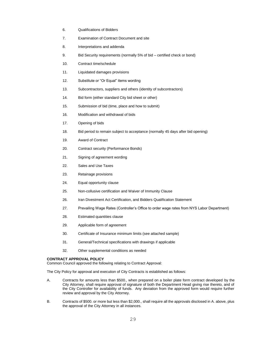- 6. Qualifications of Bidders
- 7. Examination of Contract Document and site
- 8. Interpretations and addenda
- 9. Bid Security requirements (normally 5% of bid certified check or bond)
- 10. Contract time/schedule
- 11. Liquidated damages provisions
- 12. Substitute or "Or Equal" items wording
- 13. Subcontractors, suppliers and others (identity of subcontractors)
- 14. Bid form (either standard City bid sheet or other)
- 15. Submission of bid (time, place and how to submit)
- 16. Modification and withdrawal of bids
- 17. Opening of bids
- 18. Bid period to remain subject to acceptance (normally 45 days after bid opening)
- 19. Award of Contract
- 20. Contract security (Performance Bonds)
- 21. Signing of agreement wording
- 22. Sales and Use Taxes
- 23. Retainage provisions
- 24. Equal opportunity clause
- 25. Non-collusive certification and Waiver of Immunity Clause
- 26. Iran Divestment Act Certification, and Bidders Qualification Statement
- 27. Prevailing Wage Rates (Controller's Office to order wage rates from NYS Labor Department)
- 28. Estimated quantities clause
- 29. Applicable form of agreement
- 30. Certificate of Insurance minimum limits (see attached sample)
- 31. General/Technical specifications with drawings if applicable
- 32. Other supplemental conditions as needed

#### **CONTRACT APPROVAL POLICY**

Common Council approved the following relating to Contract Approval:

The City Policy for approval and execution of City Contracts is established as follows:

- A. Contracts for amounts less than \$500., when prepared on a boiler plate form contract developed by the City Attorney, shall require approval of signature of both the Department Head giving rise thereto, and of the City Controller for availability of funds. Any deviation from the approved form would require further review and approval by the City Attorney.
- B. Contracts of \$500. or more but less than \$2,000., shall require all the approvals disclosed in A. above, plus the approval of the City Attorney in all instances.